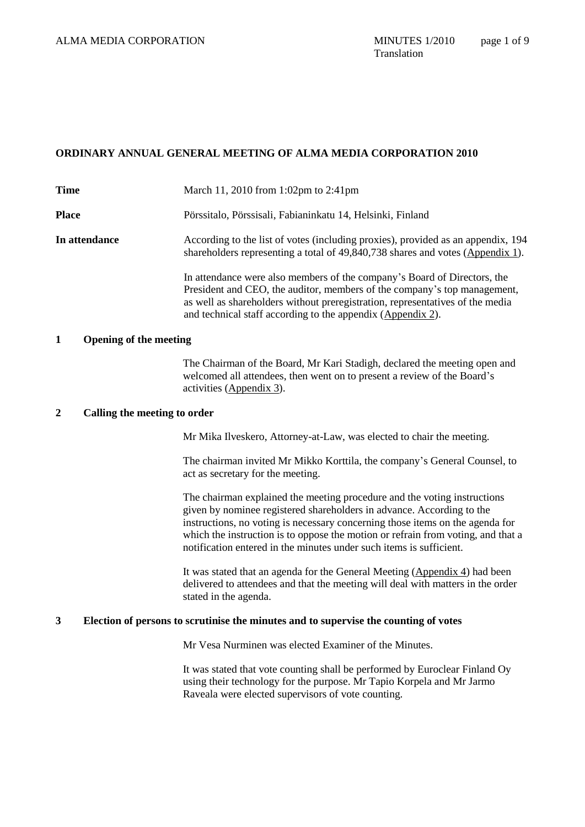# **ORDINARY ANNUAL GENERAL MEETING OF ALMA MEDIA CORPORATION 2010**

| <b>Time</b>   | March 11, 2010 from 1:02pm to 2:41pm                                                                                                                                                                                                                                                                 |
|---------------|------------------------------------------------------------------------------------------------------------------------------------------------------------------------------------------------------------------------------------------------------------------------------------------------------|
| <b>Place</b>  | Pörssitalo, Pörssisali, Fabianinkatu 14, Helsinki, Finland                                                                                                                                                                                                                                           |
| In attendance | According to the list of votes (including proxies), provided as an appendix, 194<br>shareholders representing a total of 49,840,738 shares and votes (Appendix 1).                                                                                                                                   |
|               | In attendance were also members of the company's Board of Directors, the<br>President and CEO, the auditor, members of the company's top management,<br>as well as shareholders without preregistration, representatives of the media<br>and technical staff according to the appendix (Appendix 2). |

# **1 Opening of the meeting**

The Chairman of the Board, Mr Kari Stadigh, declared the meeting open and welcomed all attendees, then went on to present a review of the Board's activities (Appendix 3).

## **2 Calling the meeting to order**

Mr Mika Ilveskero, Attorney-at-Law, was elected to chair the meeting.

The chairman invited Mr Mikko Korttila, the company's General Counsel, to act as secretary for the meeting.

The chairman explained the meeting procedure and the voting instructions given by nominee registered shareholders in advance. According to the instructions, no voting is necessary concerning those items on the agenda for which the instruction is to oppose the motion or refrain from voting, and that a notification entered in the minutes under such items is sufficient.

It was stated that an agenda for the General Meeting (Appendix 4) had been delivered to attendees and that the meeting will deal with matters in the order stated in the agenda.

## **3 Election of persons to scrutinise the minutes and to supervise the counting of votes**

Mr Vesa Nurminen was elected Examiner of the Minutes.

It was stated that vote counting shall be performed by Euroclear Finland Oy using their technology for the purpose. Mr Tapio Korpela and Mr Jarmo Raveala were elected supervisors of vote counting.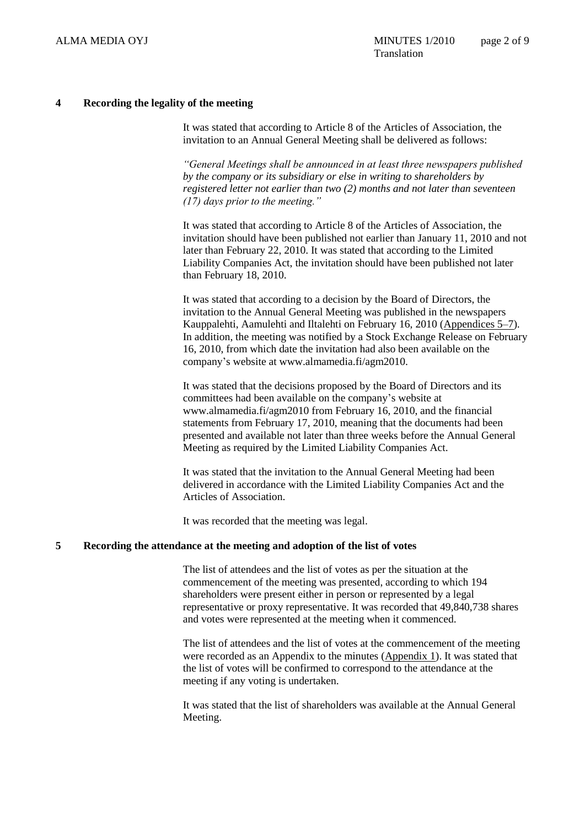## **4 Recording the legality of the meeting**

It was stated that according to Article 8 of the Articles of Association, the invitation to an Annual General Meeting shall be delivered as follows:

*"General Meetings shall be announced in at least three newspapers published by the company or its subsidiary or else in writing to shareholders by registered letter not earlier than two (2) months and not later than seventeen (17) days prior to the meeting."*

It was stated that according to Article 8 of the Articles of Association, the invitation should have been published not earlier than January 11, 2010 and not later than February 22, 2010. It was stated that according to the Limited Liability Companies Act, the invitation should have been published not later than February 18, 2010.

It was stated that according to a decision by the Board of Directors, the invitation to the Annual General Meeting was published in the newspapers Kauppalehti, Aamulehti and Iltalehti on February 16, 2010 (Appendices 5–7). In addition, the meeting was notified by a Stock Exchange Release on February 16, 2010, from which date the invitation had also been available on the company's website at www.almamedia.fi/agm2010.

It was stated that the decisions proposed by the Board of Directors and its committees had been available on the company's website at www.almamedia.fi/agm2010 from February 16, 2010, and the financial statements from February 17, 2010, meaning that the documents had been presented and available not later than three weeks before the Annual General Meeting as required by the Limited Liability Companies Act.

It was stated that the invitation to the Annual General Meeting had been delivered in accordance with the Limited Liability Companies Act and the Articles of Association.

It was recorded that the meeting was legal.

#### **5 Recording the attendance at the meeting and adoption of the list of votes**

The list of attendees and the list of votes as per the situation at the commencement of the meeting was presented, according to which 194 shareholders were present either in person or represented by a legal representative or proxy representative. It was recorded that 49,840,738 shares and votes were represented at the meeting when it commenced.

The list of attendees and the list of votes at the commencement of the meeting were recorded as an Appendix to the minutes (Appendix 1). It was stated that the list of votes will be confirmed to correspond to the attendance at the meeting if any voting is undertaken.

It was stated that the list of shareholders was available at the Annual General Meeting.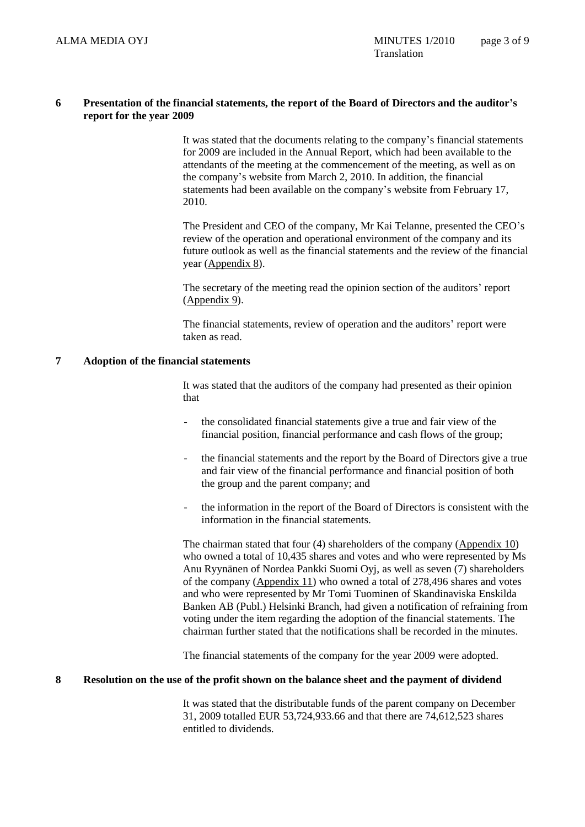## **6 Presentation of the financial statements, the report of the Board of Directors and the auditor's report for the year 2009**

It was stated that the documents relating to the company's financial statements for 2009 are included in the Annual Report, which had been available to the attendants of the meeting at the commencement of the meeting, as well as on the company's website from March 2, 2010. In addition, the financial statements had been available on the company's website from February 17, 2010.

The President and CEO of the company, Mr Kai Telanne, presented the CEO's review of the operation and operational environment of the company and its future outlook as well as the financial statements and the review of the financial year (Appendix 8).

The secretary of the meeting read the opinion section of the auditors' report (Appendix 9).

The financial statements, review of operation and the auditors' report were taken as read.

# **7 Adoption of the financial statements**

It was stated that the auditors of the company had presented as their opinion that

- the consolidated financial statements give a true and fair view of the financial position, financial performance and cash flows of the group;
- the financial statements and the report by the Board of Directors give a true and fair view of the financial performance and financial position of both the group and the parent company; and
- the information in the report of the Board of Directors is consistent with the information in the financial statements.

The chairman stated that four (4) shareholders of the company (Appendix 10) who owned a total of 10,435 shares and votes and who were represented by Ms Anu Ryynänen of Nordea Pankki Suomi Oyj, as well as seven (7) shareholders of the company (Appendix 11) who owned a total of 278,496 shares and votes and who were represented by Mr Tomi Tuominen of Skandinaviska Enskilda Banken AB (Publ.) Helsinki Branch, had given a notification of refraining from voting under the item regarding the adoption of the financial statements. The chairman further stated that the notifications shall be recorded in the minutes.

The financial statements of the company for the year 2009 were adopted.

## **8 Resolution on the use of the profit shown on the balance sheet and the payment of dividend**

It was stated that the distributable funds of the parent company on December 31, 2009 totalled EUR 53,724,933.66 and that there are 74,612,523 shares entitled to dividends.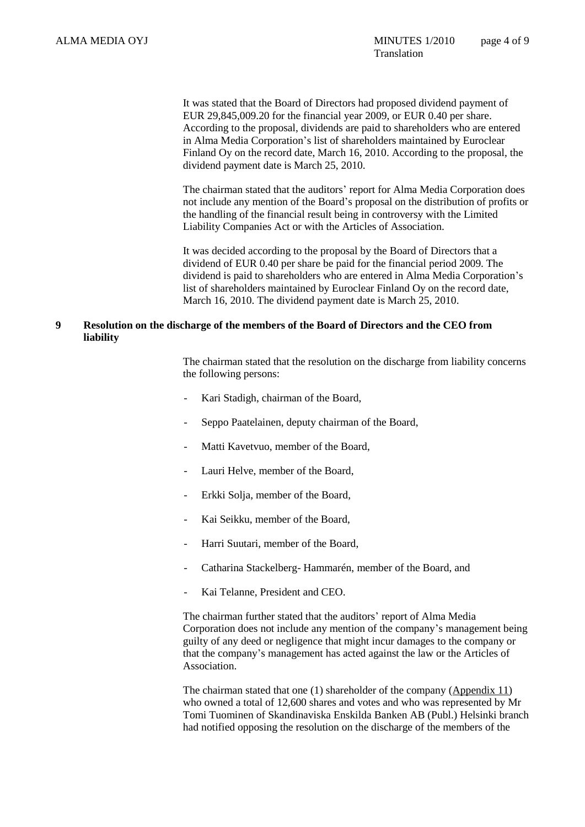It was stated that the Board of Directors had proposed dividend payment of EUR 29,845,009.20 for the financial year 2009, or EUR 0.40 per share. According to the proposal, dividends are paid to shareholders who are entered in Alma Media Corporation's list of shareholders maintained by Euroclear Finland Oy on the record date, March 16, 2010. According to the proposal, the dividend payment date is March 25, 2010.

The chairman stated that the auditors' report for Alma Media Corporation does not include any mention of the Board's proposal on the distribution of profits or the handling of the financial result being in controversy with the Limited Liability Companies Act or with the Articles of Association.

It was decided according to the proposal by the Board of Directors that a dividend of EUR 0.40 per share be paid for the financial period 2009. The dividend is paid to shareholders who are entered in Alma Media Corporation's list of shareholders maintained by Euroclear Finland Oy on the record date, March 16, 2010. The dividend payment date is March 25, 2010.

## **9 Resolution on the discharge of the members of the Board of Directors and the CEO from liability**

The chairman stated that the resolution on the discharge from liability concerns the following persons:

- Kari Stadigh, chairman of the Board,
- Seppo Paatelainen, deputy chairman of the Board,
- Matti Kavetvuo, member of the Board,
- Lauri Helve, member of the Board,
- Erkki Solja, member of the Board,
- Kai Seikku, member of the Board,
- Harri Suutari, member of the Board,
- Catharina Stackelberg- Hammarén, member of the Board, and
- Kai Telanne, President and CEO.

The chairman further stated that the auditors' report of Alma Media Corporation does not include any mention of the company's management being guilty of any deed or negligence that might incur damages to the company or that the company's management has acted against the law or the Articles of Association.

The chairman stated that one (1) shareholder of the company (Appendix 11) who owned a total of 12,600 shares and votes and who was represented by Mr Tomi Tuominen of Skandinaviska Enskilda Banken AB (Publ.) Helsinki branch had notified opposing the resolution on the discharge of the members of the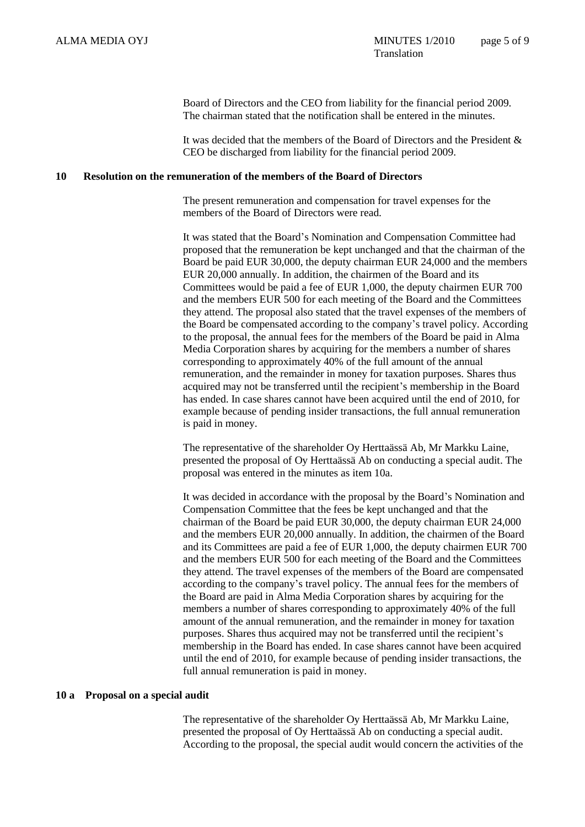Board of Directors and the CEO from liability for the financial period 2009. The chairman stated that the notification shall be entered in the minutes.

It was decided that the members of the Board of Directors and the President & CEO be discharged from liability for the financial period 2009.

### **10 Resolution on the remuneration of the members of the Board of Directors**

The present remuneration and compensation for travel expenses for the members of the Board of Directors were read.

It was stated that the Board's Nomination and Compensation Committee had proposed that the remuneration be kept unchanged and that the chairman of the Board be paid EUR 30,000, the deputy chairman EUR 24,000 and the members EUR 20,000 annually. In addition, the chairmen of the Board and its Committees would be paid a fee of EUR 1,000, the deputy chairmen EUR 700 and the members EUR 500 for each meeting of the Board and the Committees they attend. The proposal also stated that the travel expenses of the members of the Board be compensated according to the company's travel policy. According to the proposal, the annual fees for the members of the Board be paid in Alma Media Corporation shares by acquiring for the members a number of shares corresponding to approximately 40% of the full amount of the annual remuneration, and the remainder in money for taxation purposes. Shares thus acquired may not be transferred until the recipient's membership in the Board has ended. In case shares cannot have been acquired until the end of 2010, for example because of pending insider transactions, the full annual remuneration is paid in money.

The representative of the shareholder Oy Herttaässä Ab, Mr Markku Laine, presented the proposal of Oy Herttaässä Ab on conducting a special audit. The proposal was entered in the minutes as item 10a.

It was decided in accordance with the proposal by the Board's Nomination and Compensation Committee that the fees be kept unchanged and that the chairman of the Board be paid EUR 30,000, the deputy chairman EUR 24,000 and the members EUR 20,000 annually. In addition, the chairmen of the Board and its Committees are paid a fee of EUR 1,000, the deputy chairmen EUR 700 and the members EUR 500 for each meeting of the Board and the Committees they attend. The travel expenses of the members of the Board are compensated according to the company's travel policy. The annual fees for the members of the Board are paid in Alma Media Corporation shares by acquiring for the members a number of shares corresponding to approximately 40% of the full amount of the annual remuneration, and the remainder in money for taxation purposes. Shares thus acquired may not be transferred until the recipient's membership in the Board has ended. In case shares cannot have been acquired until the end of 2010, for example because of pending insider transactions, the full annual remuneration is paid in money.

#### **10 a Proposal on a special audit**

The representative of the shareholder Oy Herttaässä Ab, Mr Markku Laine, presented the proposal of Oy Herttaässä Ab on conducting a special audit. According to the proposal, the special audit would concern the activities of the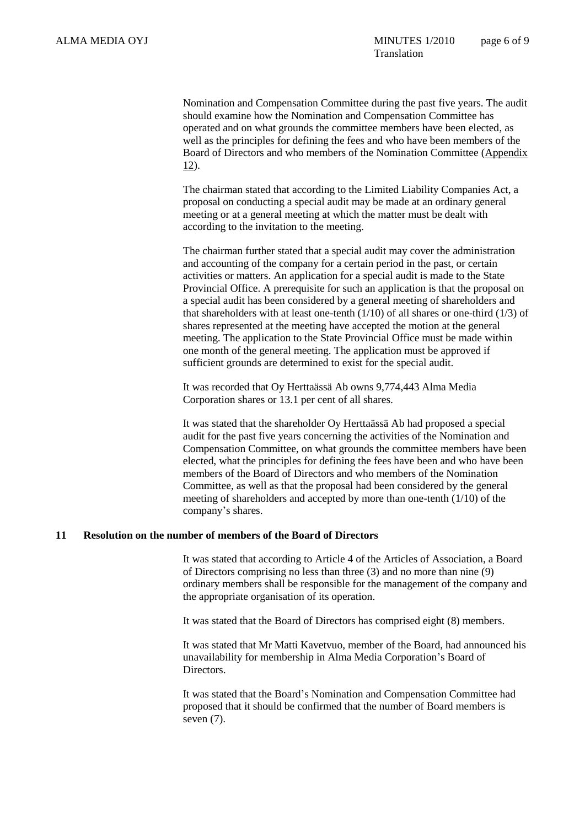Nomination and Compensation Committee during the past five years. The audit should examine how the Nomination and Compensation Committee has operated and on what grounds the committee members have been elected, as well as the principles for defining the fees and who have been members of the Board of Directors and who members of the Nomination Committee (Appendix 12).

The chairman stated that according to the Limited Liability Companies Act, a proposal on conducting a special audit may be made at an ordinary general meeting or at a general meeting at which the matter must be dealt with according to the invitation to the meeting.

The chairman further stated that a special audit may cover the administration and accounting of the company for a certain period in the past, or certain activities or matters. An application for a special audit is made to the State Provincial Office. A prerequisite for such an application is that the proposal on a special audit has been considered by a general meeting of shareholders and that shareholders with at least one-tenth  $(1/10)$  of all shares or one-third  $(1/3)$  of shares represented at the meeting have accepted the motion at the general meeting. The application to the State Provincial Office must be made within one month of the general meeting. The application must be approved if sufficient grounds are determined to exist for the special audit.

It was recorded that Oy Herttaässä Ab owns 9,774,443 Alma Media Corporation shares or 13.1 per cent of all shares.

It was stated that the shareholder Oy Herttaässä Ab had proposed a special audit for the past five years concerning the activities of the Nomination and Compensation Committee, on what grounds the committee members have been elected, what the principles for defining the fees have been and who have been members of the Board of Directors and who members of the Nomination Committee, as well as that the proposal had been considered by the general meeting of shareholders and accepted by more than one-tenth (1/10) of the company's shares.

## **11 Resolution on the number of members of the Board of Directors**

It was stated that according to Article 4 of the Articles of Association, a Board of Directors comprising no less than three (3) and no more than nine (9) ordinary members shall be responsible for the management of the company and the appropriate organisation of its operation.

It was stated that the Board of Directors has comprised eight (8) members.

It was stated that Mr Matti Kavetvuo, member of the Board, had announced his unavailability for membership in Alma Media Corporation's Board of Directors.

It was stated that the Board's Nomination and Compensation Committee had proposed that it should be confirmed that the number of Board members is seven (7).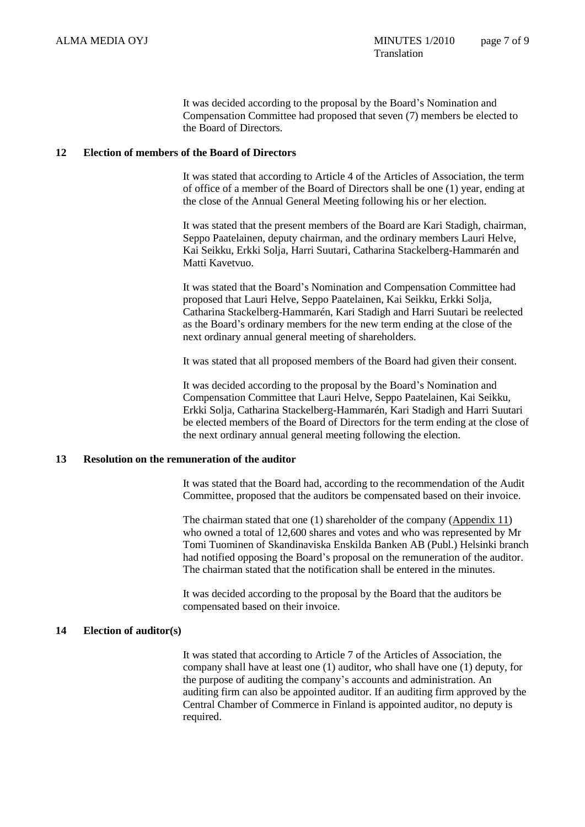It was decided according to the proposal by the Board's Nomination and Compensation Committee had proposed that seven (7) members be elected to the Board of Directors.

## **12 Election of members of the Board of Directors**

It was stated that according to Article 4 of the Articles of Association, the term of office of a member of the Board of Directors shall be one (1) year, ending at the close of the Annual General Meeting following his or her election.

It was stated that the present members of the Board are Kari Stadigh, chairman, Seppo Paatelainen, deputy chairman, and the ordinary members Lauri Helve, Kai Seikku, Erkki Solja, Harri Suutari, Catharina Stackelberg-Hammarén and Matti Kavetvuo.

It was stated that the Board's Nomination and Compensation Committee had proposed that Lauri Helve, Seppo Paatelainen, Kai Seikku, Erkki Solja, Catharina Stackelberg-Hammarén, Kari Stadigh and Harri Suutari be reelected as the Board's ordinary members for the new term ending at the close of the next ordinary annual general meeting of shareholders.

It was stated that all proposed members of the Board had given their consent.

It was decided according to the proposal by the Board's Nomination and Compensation Committee that Lauri Helve, Seppo Paatelainen, Kai Seikku, Erkki Solja, Catharina Stackelberg-Hammarén, Kari Stadigh and Harri Suutari be elected members of the Board of Directors for the term ending at the close of the next ordinary annual general meeting following the election.

# **13 Resolution on the remuneration of the auditor**

It was stated that the Board had, according to the recommendation of the Audit Committee, proposed that the auditors be compensated based on their invoice.

The chairman stated that one (1) shareholder of the company (Appendix 11) who owned a total of 12,600 shares and votes and who was represented by Mr Tomi Tuominen of Skandinaviska Enskilda Banken AB (Publ.) Helsinki branch had notified opposing the Board's proposal on the remuneration of the auditor. The chairman stated that the notification shall be entered in the minutes.

It was decided according to the proposal by the Board that the auditors be compensated based on their invoice.

#### **14 Election of auditor(s)**

It was stated that according to Article 7 of the Articles of Association, the company shall have at least one (1) auditor, who shall have one (1) deputy, for the purpose of auditing the company's accounts and administration. An auditing firm can also be appointed auditor. If an auditing firm approved by the Central Chamber of Commerce in Finland is appointed auditor, no deputy is required.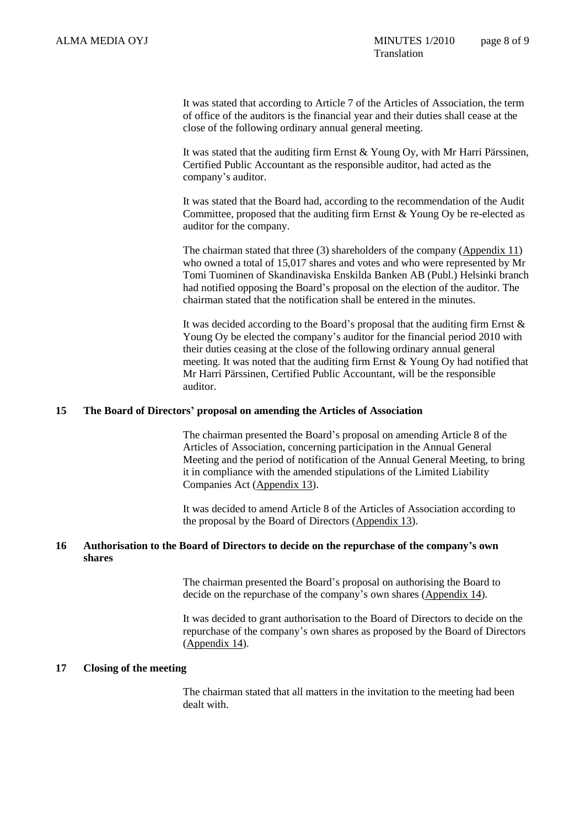It was stated that according to Article 7 of the Articles of Association, the term of office of the auditors is the financial year and their duties shall cease at the close of the following ordinary annual general meeting.

It was stated that the auditing firm Ernst & Young Oy, with Mr Harri Pärssinen, Certified Public Accountant as the responsible auditor, had acted as the company's auditor.

It was stated that the Board had, according to the recommendation of the Audit Committee, proposed that the auditing firm Ernst & Young Oy be re-elected as auditor for the company.

The chairman stated that three (3) shareholders of the company (Appendix 11) who owned a total of 15,017 shares and votes and who were represented by Mr Tomi Tuominen of Skandinaviska Enskilda Banken AB (Publ.) Helsinki branch had notified opposing the Board's proposal on the election of the auditor. The chairman stated that the notification shall be entered in the minutes.

It was decided according to the Board's proposal that the auditing firm Ernst  $\&$ Young Oy be elected the company's auditor for the financial period 2010 with their duties ceasing at the close of the following ordinary annual general meeting. It was noted that the auditing firm Ernst & Young Oy had notified that Mr Harri Pärssinen, Certified Public Accountant, will be the responsible auditor.

#### **15 The Board of Directors' proposal on amending the Articles of Association**

The chairman presented the Board's proposal on amending Article 8 of the Articles of Association, concerning participation in the Annual General Meeting and the period of notification of the Annual General Meeting, to bring it in compliance with the amended stipulations of the Limited Liability Companies Act (Appendix 13).

It was decided to amend Article 8 of the Articles of Association according to the proposal by the Board of Directors (Appendix 13).

## **16 Authorisation to the Board of Directors to decide on the repurchase of the company's own shares**

The chairman presented the Board's proposal on authorising the Board to decide on the repurchase of the company's own shares (Appendix 14).

It was decided to grant authorisation to the Board of Directors to decide on the repurchase of the company's own shares as proposed by the Board of Directors (Appendix 14).

#### **17 Closing of the meeting**

The chairman stated that all matters in the invitation to the meeting had been dealt with.